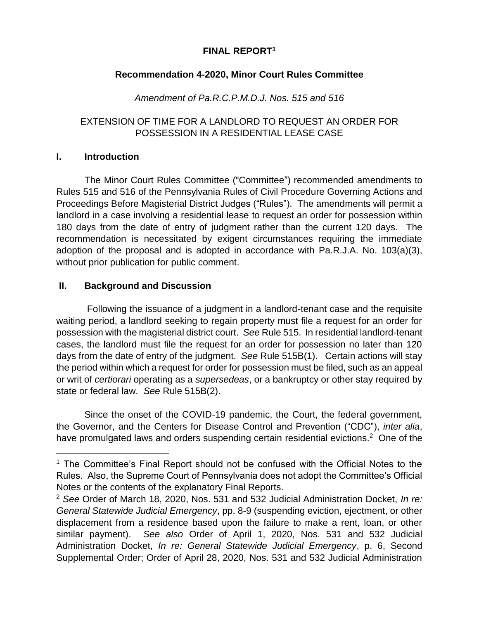# **FINAL REPORT<sup>1</sup>**

# **Recommendation 4-2020, Minor Court Rules Committee**

# *Amendment of Pa.R.C.P.M.D.J. Nos. 515 and 516*

# EXTENSION OF TIME FOR A LANDLORD TO REQUEST AN ORDER FOR POSSESSION IN A RESIDENTIAL LEASE CASE

#### **I. Introduction**

 $\overline{a}$ 

The Minor Court Rules Committee ("Committee") recommended amendments to Rules 515 and 516 of the Pennsylvania Rules of Civil Procedure Governing Actions and Proceedings Before Magisterial District Judges ("Rules"). The amendments will permit a landlord in a case involving a residential lease to request an order for possession within 180 days from the date of entry of judgment rather than the current 120 days. The recommendation is necessitated by exigent circumstances requiring the immediate adoption of the proposal and is adopted in accordance with Pa.R.J.A. No. 103(a)(3), without prior publication for public comment.

#### **II. Background and Discussion**

Following the issuance of a judgment in a landlord-tenant case and the requisite waiting period, a landlord seeking to regain property must file a request for an order for possession with the magisterial district court. *See* Rule 515. In residential landlord-tenant cases, the landlord must file the request for an order for possession no later than 120 days from the date of entry of the judgment. *See* Rule 515B(1). Certain actions will stay the period within which a request for order for possession must be filed, such as an appeal or writ of *certiorari* operating as a *supersedeas*, or a bankruptcy or other stay required by state or federal law. *See* Rule 515B(2).

Since the onset of the COVID-19 pandemic, the Court, the federal government, the Governor, and the Centers for Disease Control and Prevention ("CDC"), *inter alia*, have promulgated laws and orders suspending certain residential evictions.<sup>2</sup> One of the

<sup>&</sup>lt;sup>1</sup> The Committee's Final Report should not be confused with the Official Notes to the Rules. Also, the Supreme Court of Pennsylvania does not adopt the Committee's Official Notes or the contents of the explanatory Final Reports.

<sup>2</sup> *See* Order of March 18, 2020, Nos. 531 and 532 Judicial Administration Docket, *In re: General Statewide Judicial Emergency*, pp. 8-9 (suspending eviction, ejectment, or other displacement from a residence based upon the failure to make a rent, loan, or other similar payment). *See also* Order of April 1, 2020, Nos. 531 and 532 Judicial Administration Docket, *In re: General Statewide Judicial Emergency*, p. 6, Second Supplemental Order; Order of April 28, 2020, Nos. 531 and 532 Judicial Administration